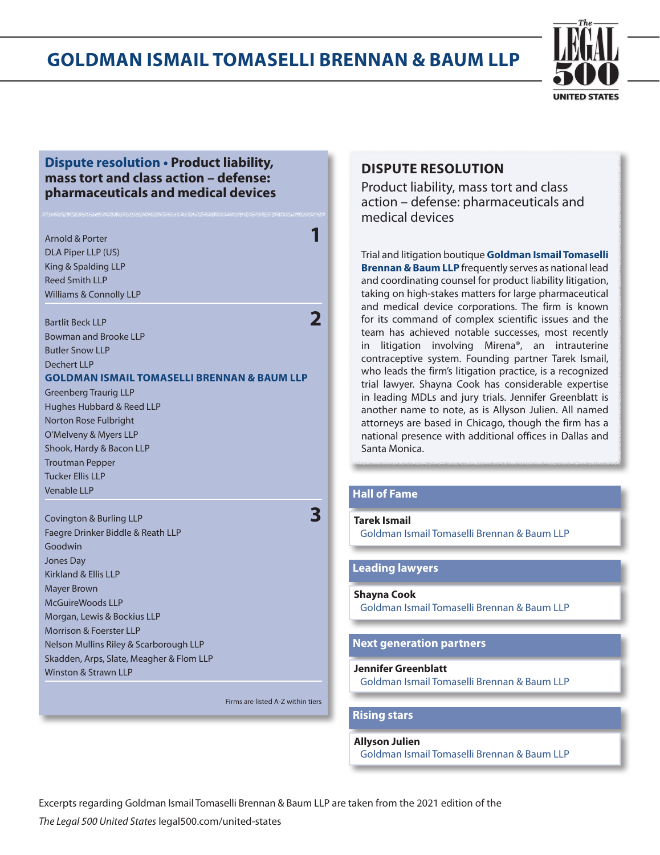

### **Dispute resolution • Product liability, mass tort and class action – defense: pharmaceuticals and medical devices**

### Arnold & Porter **11 (1996)**<br>Arnold & Porter **11 (1996)** DLA Piper LLP (US) King & Spalding LLP Reed Smith LLP Williams & Connolly LLP

Bartlit Beck LLP<br>**2** Bowman and Brooke LLP Butler Snow LLP Dechert LLP **GOLDMAN ISMAIL TOMASELLI BRENNAN & BAUM LLP** Greenberg Traurig LLP

Hughes Hubbard & Reed LLP Norton Rose Fulbright O'Melveny & Myers LLP Shook, Hardy & Bacon LLP Troutman Pepper Tucker Ellis LLP Venable LLP

### Covington & Burling LLP **3** Faegre Drinker Biddle & Reath LLP Goodwin Jones Day Kirkland & Ellis LLP Mayer Brown McGuireWoods LLP Morgan, Lewis & Bockius LLP Morrison & Foerster LLP Nelson Mullins Riley & Scarborough LLP Skadden, Arps, Slate, Meagher & Flom LLP Winston & Strawn LLP

### **DISPUTE RESOLUTION**

Product liability, mass tort and class action – defense: pharmaceuticals and medical devices

Trial and litigation boutique **Goldman Ismail Tomaselli Brennan & Baum LLP** frequently serves as national lead and coordinating counsel for product liability litigation, taking on high-stakes matters for large pharmaceutical and medical device corporations. The firm is known for its command of complex scientific issues and the team has achieved notable successes, most recently in litigation involving Mirena®, an intrauterine contraceptive system. Founding partner Tarek Ismail, who leads the firm's litigation practice, is a recognized trial lawyer. Shayna Cook has considerable expertise in leading MDLs and jury trials. Jennifer Greenblatt is another name to note, as is Allyson Julien. All named attorneys are based in Chicago, though the firm has a national presence with additional offices in Dallas and Santa Monica.

### **Hall of Fame**

**Tarek Ismail**  Goldman Ismail Tomaselli Brennan & Baum LLP

#### **Leading lawyers**

**Shayna Cook** 

Goldman Ismail Tomaselli Brennan & Baum LLP

### **Next generation partners**

#### **Jennifer Greenblatt**

Goldman Ismail Tomaselli Brennan & Baum LLP

### Firms are listed A-Z within tiers

**Rising stars**

### **Allyson Julien**

Goldman Ismail Tomaselli Brennan & Baum LLP

Excerpts regarding Goldman Ismail Tomaselli Brennan & Baum LLP are taken from the 2021 edition of the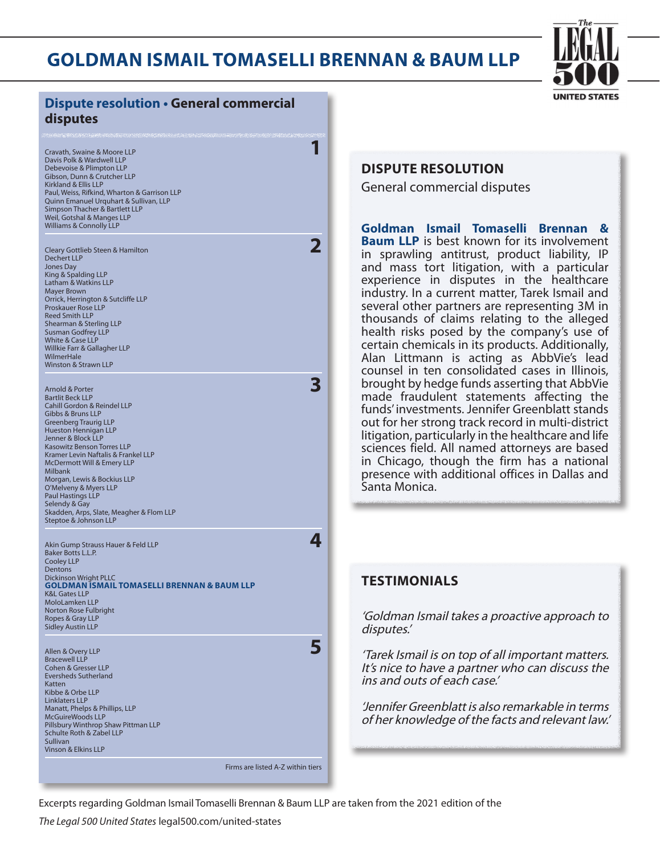

| <b>Dispute resolution . General commercial</b><br>disputes                                                                                                                                                                                                                                                                                                                                                                                                                              |                                                                                                                                                      |
|-----------------------------------------------------------------------------------------------------------------------------------------------------------------------------------------------------------------------------------------------------------------------------------------------------------------------------------------------------------------------------------------------------------------------------------------------------------------------------------------|------------------------------------------------------------------------------------------------------------------------------------------------------|
| Cravath, Swaine & Moore LLP<br>Davis Polk & Wardwell LLP<br>Debevoise & Plimpton LLP<br>Gibson, Dunn & Crutcher LLP<br>Kirkland & Ellis LLP<br>Paul, Weiss, Rifkind, Wharton & Garrison LLP<br>Quinn Emanuel Urquhart & Sullivan, LLP<br>Simpson Thacher & Bartlett LLP<br>Weil, Gotshal & Manges LLP<br><b>Williams &amp; Connolly LLP</b>                                                                                                                                             | <b>DISPUTE</b><br>General o<br>Goldman                                                                                                               |
| $\overline{\mathbf{2}}$<br>Cleary Gottlieb Steen & Hamilton<br><b>Dechert LLP</b><br>Jones Day<br>King & Spalding LLP<br>Latham & Watkins LLP<br>Mayer Brown<br>Orrick, Herrington & Sutcliffe LLP<br>Proskauer Rose LLP<br><b>Reed Smith LLP</b><br>Shearman & Sterling LLP<br><b>Susman Godfrey LLP</b><br><b>White &amp; Case LLP</b><br>Willkie Farr & Gallagher LLP<br>WilmerHale<br><b>Winston &amp; Strawn LLP</b>                                                               | <b>Baum LLI</b><br>in sprawl<br>and mass<br>experienc<br>industry.<br>several ot<br>thousand<br>health ris<br>certain ch<br>Alan Litti<br>counsel in |
| 3<br>Arnold & Porter<br><b>Bartlit Beck LLP</b><br>Cahill Gordon & Reindel LLP<br>Gibbs & Bruns LLP<br><b>Greenberg Traurig LLP</b><br>Hueston Hennigan LLP<br>Jenner & Block LLP<br><b>Kasowitz Benson Torres LLP</b><br>Kramer Levin Naftalis & Frankel LLP<br>McDermott Will & Emery LLP<br><b>Milbank</b><br>Morgan, Lewis & Bockius LLP<br>O'Melveny & Myers LLP<br><b>Paul Hastings LLP</b><br>Selendy & Gay<br>Skadden, Arps, Slate, Meagher & Flom LLP<br>Steptoe & Johnson LLP | brought b<br>made fra<br>funds' inve<br>out for he<br>litigation,<br>sciences f<br>in Chicag<br>presence<br>Santa Moi                                |
| 4<br>Akin Gump Strauss Hauer & Feld LLP<br>Baker Botts L.L.P.<br><b>Cooley LLP</b><br>Dentons<br><b>Dickinson Wright PLLC</b><br><b>GOLDMAN ISMAIL TOMASELLI BRENNAN &amp; BAUM LLP</b><br><b>K&amp;L Gates LLP</b><br>MoloLamken LLP<br>Norton Rose Fulbright<br>Ropes & Gray LLP<br><b>Sidley Austin LLP</b>                                                                                                                                                                          | <b>TESTIM</b><br>'Goldman<br>disputes.'                                                                                                              |
| 5<br>Allen & Overy LLP<br><b>Bracewell LLP</b><br>Cohen & Gresser LLP<br><b>Eversheds Sutherland</b><br>Katten<br>Kibbe & Orbe LLP<br><b>Linklaters LLP</b><br>Manatt, Phelps & Phillips, LLP<br><b>McGuireWoods LLP</b><br>Pillsbury Winthrop Shaw Pittman LLP<br>Schulte Roth & Zabel LLP<br><b>Sullivan</b><br><b>Vinson &amp; Elkins LLP</b>                                                                                                                                        | 'Tarek Ism<br>It's nice to<br>ins and ou<br><b>Jennifer C</b><br>of her kno                                                                          |
| Firms are listed A-Z within tiers                                                                                                                                                                                                                                                                                                                                                                                                                                                       |                                                                                                                                                      |

### **E RESOLUTION**

commercial disputes

**Goldman Ismail Tomaselli Brennan & P** is best known for its involvement ling antitrust, product liability, IP and itigation, with a particular e in disputes in the healthcare In a current matter, Tarek Ismail and her partners are representing 3M in s of claims relating to the alleged ks posed by the company's use of emicals in its products. Additionally, mann is acting as AbbVie's lead n ten consolidated cases in Illinois, by hedge funds asserting that AbbVie udulent statements affecting the estments. Jennifer Greenblatt stands r strong track record in multi-district particularly in the healthcare and life field. All named attorneys are based  $\overline{a}$ , though the firm has a national with additional offices in Dallas and nica.

### *<u>TESTIMO</u>*

Ismail takes a proactive approach to

ail is on top of all important matters. o have a partner who can discuss the uts of each case.'

Greenblatt is also remarkable in terms owledge of the facts and relevant law.'

Excerpts regarding Goldman Ismail Tomaselli Brennan & Baum LLP are taken from the 2021 edition of the

*The Legal 500 United States* legal500.com/united-states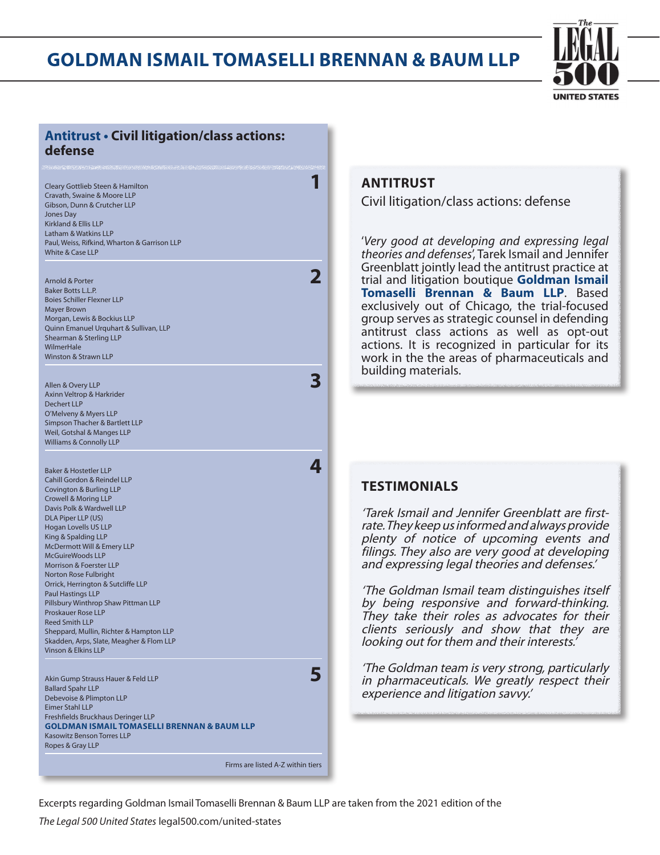

### **Antitrust • Civil litigation/class actions: defense**

| Cleary Gottlieb Steen & Hamilton             |  |
|----------------------------------------------|--|
| Cravath, Swaine & Moore LLP                  |  |
| Gibson, Dunn & Crutcher LLP                  |  |
| Jones Day                                    |  |
| Kirkland & Ellis LLP                         |  |
| Latham & Watkins LLP                         |  |
| Paul, Weiss, Rifkind, Wharton & Garrison LLP |  |
| White & Case LLP                             |  |
|                                              |  |

| Arnold & Porter                        |  |
|----------------------------------------|--|
| <b>Baker Botts L.L.P.</b>              |  |
| <b>Boies Schiller Flexner LLP</b>      |  |
| Mayer Brown                            |  |
| Morgan, Lewis & Bockius LLP            |  |
| Quinn Emanuel Urquhart & Sullivan, LLP |  |
| Shearman & Sterling LLP                |  |
| WilmerHale                             |  |
| Winston & Strawn LLP                   |  |
|                                        |  |
|                                        |  |
| Allen & Overy LLP                      |  |

Axinn Veltrop & Harkrider Dechert LLP O'Melveny & Myers LLP Simpson Thacher & Bartlett LLP Weil, Gotshal & Manges LLP Williams & Connolly LLP

Baker & Hostetler LLP **4** Cahill Gordon & Reindel LLP Covington & Burling LLP Crowell & Moring LLP Davis Polk & Wardwell LLP DLA Piper LLP (US) Hogan Lovells US LLP King & Spalding LLP McDermott Will & Emery LLP McGuireWoods LLP Morrison & Foerster LLP Norton Rose Fulbright Orrick, Herrington & Sutcliffe LLP Paul Hastings LLP Pillsbury Winthrop Shaw Pittman LLP Proskauer Rose LLP Reed Smith LLP Sheppard, Mullin, Richter & Hampton LLP Skadden, Arps, Slate, Meagher & Flom LLP Vinson & Elkins LLP

Akin Gump Strauss Hauer & Feld LLP<br>**5** Ballard Spahr LLP Debevoise & Plimpton LLP Eimer Stahl LLP Freshfields Bruckhaus Deringer LLP **GOLDMAN ISMAIL TOMASELLI BRENNAN & BAUM LLP** Kasowitz Benson Torres LLP Ropes & Gray LLP

### **ANTITRUST**

Civil litigation/class actions: defense

'*Very good at developing and expressing legal theories and defenses*', Tarek Ismail and Jennifer Greenblatt jointly lead the antitrust practice at trial and litigation boutique **Goldman Ismail Tomaselli Brennan & Baum LLP**. Based exclusively out of Chicago, the trial-focused group serves as strategic counsel in defending antitrust class actions as well as opt-out actions. It is recognized in particular for its work in the the areas of pharmaceuticals and building materials.

### **TESTIMONIALS**

'Tarek Ismail and Jennifer Greenblatt are firstrate. They keep us informed and always provide plenty of notice of upcoming events and filings. They also are very good at developing and expressing legal theories and defenses.'

'The Goldman Ismail team distinguishes itself by being responsive and forward-thinking. They take their roles as advocates for their clients seriously and show that they are looking out for them and their interests.'

'The Goldman team is very strong, particularly in pharmaceuticals. We greatly respect their experience and litigation savvy.'

Firms are listed A-Z within tiers

Excerpts regarding Goldman Ismail Tomaselli Brennan & Baum LLP are taken from the 2021 edition of the

*The Legal 500 United States* legal500.com/united-states